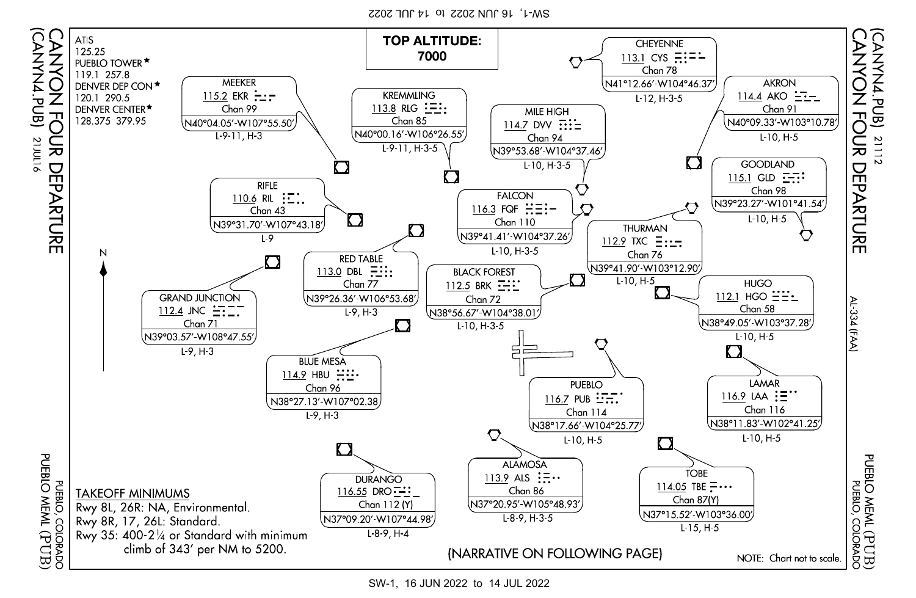$ZZ0Z$  JNC  $H$  of  $Z0Z$  NNC  $9L$  'L-MS



SW-1, 16 JUN 2022 to 14 JUL 2022